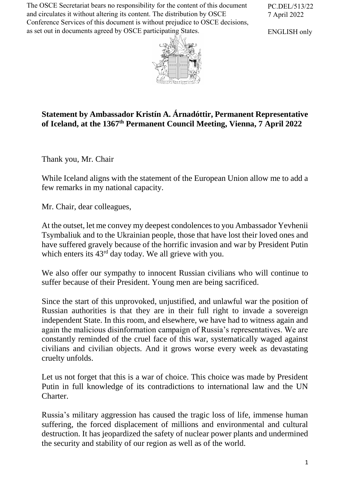The OSCE Secretariat bears no responsibility for the content of this document and circulates it without altering its content. The distribution by OSCE Conference Services of this document is without prejudice to OSCE decisions, as set out in documents agreed by OSCE participating States.

PC.DEL/513/22 7 April 2022

ENGLISH only



## **Statement by Ambassador Kristín A. Árnadóttir, Permanent Representative of Iceland, at the 1367 th Permanent Council Meeting, Vienna, 7 April 2022**

Thank you, Mr. Chair

While Iceland aligns with the statement of the European Union allow me to add a few remarks in my national capacity.

Mr. Chair, dear colleagues,

At the outset, let me convey my deepest condolences to you Ambassador Yevhenii Tsymbaliuk and to the Ukrainian people, those that have lost their loved ones and have suffered gravely because of the horrific invasion and war by President Putin which enters its  $43<sup>rd</sup>$  day today. We all grieve with you.

We also offer our sympathy to innocent Russian civilians who will continue to suffer because of their President. Young men are being sacrificed.

Since the start of this unprovoked, unjustified, and unlawful war the position of Russian authorities is that they are in their full right to invade a sovereign independent State. In this room, and elsewhere, we have had to witness again and again the malicious disinformation campaign of Russia's representatives. We are constantly reminded of the cruel face of this war, systematically waged against civilians and civilian objects. And it grows worse every week as devastating cruelty unfolds.

Let us not forget that this is a war of choice. This choice was made by President Putin in full knowledge of its contradictions to international law and the UN Charter.

Russia's military aggression has caused the tragic loss of life, immense human suffering, the forced displacement of millions and environmental and cultural destruction. It has jeopardized the safety of nuclear power plants and undermined the security and stability of our region as well as of the world.